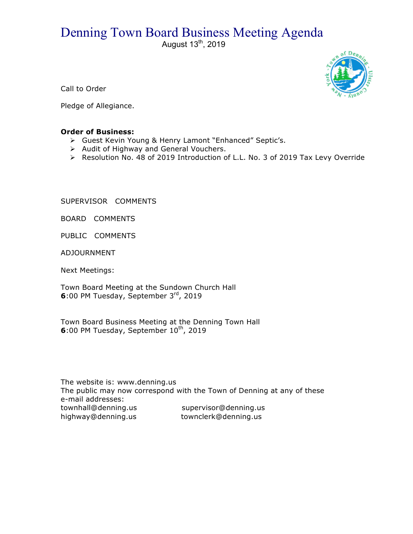## Denning Town Board Business Meeting Agenda

August  $13<sup>th</sup>$ , 2019



Call to Order

Pledge of Allegiance.

## **Order of Business:**

- > Guest Kevin Young & Henry Lamont "Enhanced" Septic's.
- $\triangleright$  Audit of Highway and General Vouchers.
- $\triangleright$  Resolution No. 48 of 2019 Introduction of L.L. No. 3 of 2019 Tax Levy Override

SUPERVISOR COMMENTS

BOARD COMMENTS

PUBLIC COMMENTS

ADJOURNMENT

Next Meetings:

Town Board Meeting at the Sundown Church Hall **6**:00 PM Tuesday, September 3rd, 2019

Town Board Business Meeting at the Denning Town Hall **6**:00 PM Tuesday, September 10<sup>th</sup>, 2019

The website is: www.denning.us The public may now correspond with the Town of Denning at any of these e-mail addresses: townhall@denning.us supervisor@denning.us highway@denning.us townclerk@denning.us